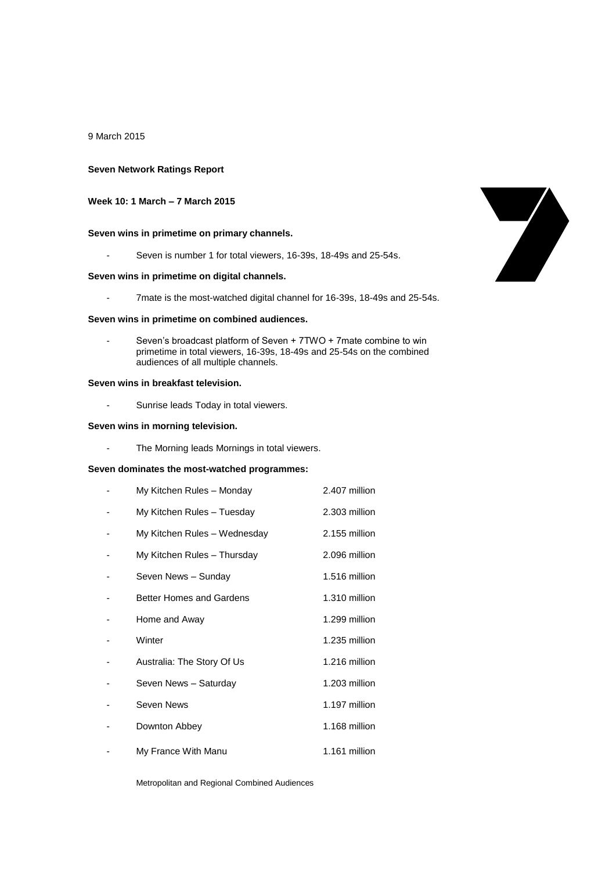9 March 2015

### **Seven Network Ratings Report**

# **Week 10: 1 March – 7 March 2015**

# **Seven wins in primetime on primary channels.**

- Seven is number 1 for total viewers, 16-39s, 18-49s and 25-54s.

## **Seven wins in primetime on digital channels.**

- 7mate is the most-watched digital channel for 16-39s, 18-49s and 25-54s.

#### **Seven wins in primetime on combined audiences.**

Seven's broadcast platform of Seven + 7TWO + 7mate combine to win primetime in total viewers, 16-39s, 18-49s and 25-54s on the combined audiences of all multiple channels.

#### **Seven wins in breakfast television.**

- Sunrise leads Today in total viewers.

#### **Seven wins in morning television.**

- The Morning leads Mornings in total viewers.

## **Seven dominates the most-watched programmes:**

| My Kitchen Rules - Monday       | 2.407 million |
|---------------------------------|---------------|
| My Kitchen Rules - Tuesday      | 2.303 million |
| My Kitchen Rules - Wednesday    | 2.155 million |
| My Kitchen Rules - Thursday     | 2.096 million |
| Seven News - Sunday             | 1.516 million |
| <b>Better Homes and Gardens</b> | 1.310 million |
| Home and Away                   | 1.299 million |
| Winter                          | 1.235 million |
| Australia: The Story Of Us      | 1.216 million |
| Seven News - Saturday           | 1.203 million |
| Seven News                      | 1.197 million |
| Downton Abbey                   | 1.168 million |
| My France With Manu             | 1.161 million |

Metropolitan and Regional Combined Audiences

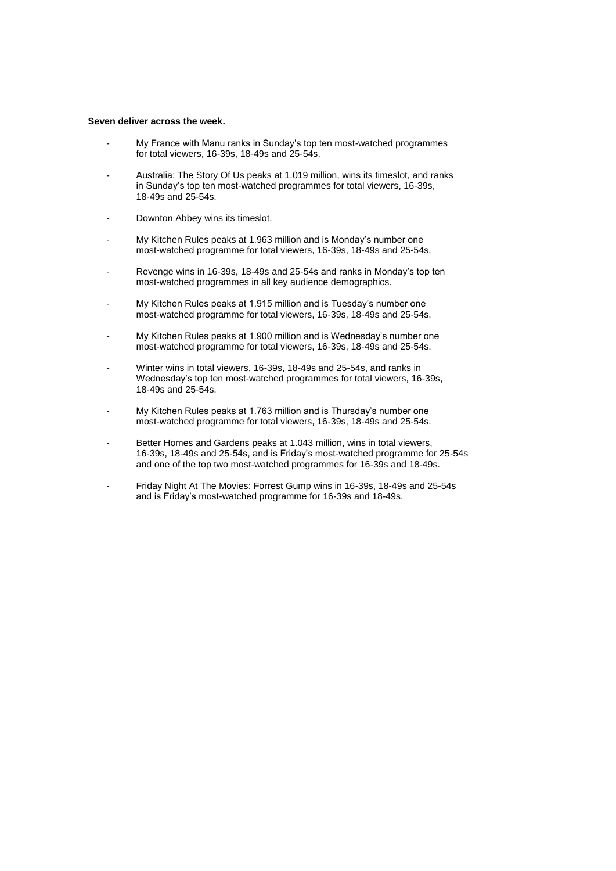### **Seven deliver across the week.**

- My France with Manu ranks in Sunday's top ten most-watched programmes for total viewers, 16-39s, 18-49s and 25-54s.
- Australia: The Story Of Us peaks at 1.019 million, wins its timeslot, and ranks in Sunday's top ten most-watched programmes for total viewers, 16-39s, 18-49s and 25-54s.
- Downton Abbey wins its timeslot.
- My Kitchen Rules peaks at 1.963 million and is Monday's number one most-watched programme for total viewers, 16-39s, 18-49s and 25-54s.
- Revenge wins in 16-39s, 18-49s and 25-54s and ranks in Monday's top ten most-watched programmes in all key audience demographics.
- My Kitchen Rules peaks at 1.915 million and is Tuesday's number one most-watched programme for total viewers, 16-39s, 18-49s and 25-54s.
- My Kitchen Rules peaks at 1.900 million and is Wednesday's number one most-watched programme for total viewers, 16-39s, 18-49s and 25-54s.
- Winter wins in total viewers, 16-39s, 18-49s and 25-54s, and ranks in Wednesday's top ten most-watched programmes for total viewers, 16-39s, 18-49s and 25-54s.
- My Kitchen Rules peaks at 1.763 million and is Thursday's number one most-watched programme for total viewers, 16-39s, 18-49s and 25-54s.
- Better Homes and Gardens peaks at 1.043 million, wins in total viewers, 16-39s, 18-49s and 25-54s, and is Friday's most-watched programme for 25-54s and one of the top two most-watched programmes for 16-39s and 18-49s.
- Friday Night At The Movies: Forrest Gump wins in 16-39s, 18-49s and 25-54s and is Friday's most-watched programme for 16-39s and 18-49s.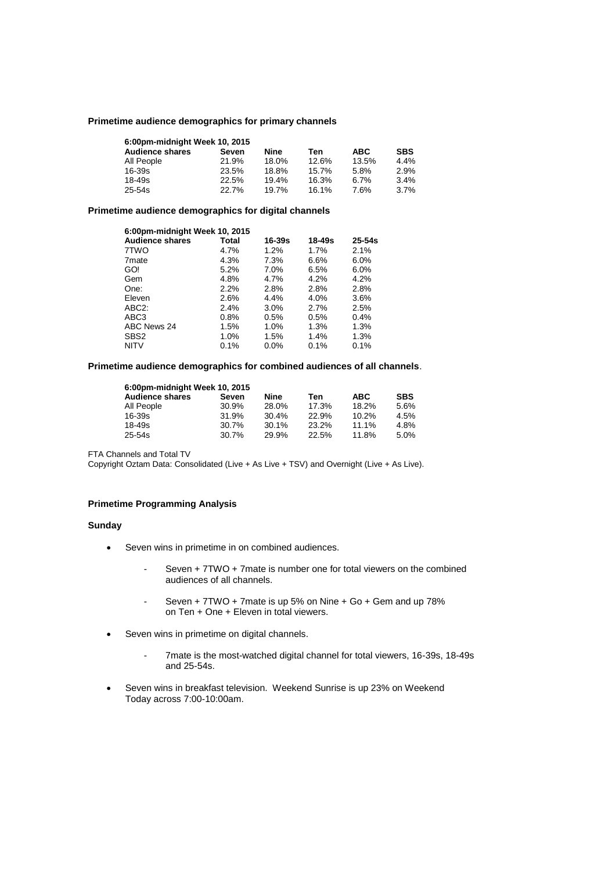### **Primetime audience demographics for primary channels**

| 6:00pm-midnight Week 10, 2015 |       |       |       |            |            |  |  |
|-------------------------------|-------|-------|-------|------------|------------|--|--|
| <b>Audience shares</b>        | Seven | Nine  | Ten   | <b>ABC</b> | <b>SBS</b> |  |  |
| All People                    | 21.9% | 18.0% | 12.6% | 13.5%      | 4.4%       |  |  |
| $16 - 39s$                    | 23.5% | 18.8% | 15.7% | 5.8%       | 2.9%       |  |  |
| $18 - 49s$                    | 22.5% | 19.4% | 16.3% | 6.7%       | 3.4%       |  |  |
| $25 - 54s$                    | 22.7% | 19.7% | 16.1% | 7.6%       | 3.7%       |  |  |

#### **Primetime audience demographics for digital channels**

| 6:00pm-midnight Week 10, 2015 |         |        |        |            |  |  |
|-------------------------------|---------|--------|--------|------------|--|--|
| <b>Audience shares</b>        | Total   | 16-39s | 18-49s | $25 - 54s$ |  |  |
| 7TWO                          | 4.7%    | 1.2%   | 1.7%   | 2.1%       |  |  |
| 7 <sub>mate</sub>             | 4.3%    | 7.3%   | 6.6%   | 6.0%       |  |  |
| GO!                           | 5.2%    | 7.0%   | 6.5%   | 6.0%       |  |  |
| Gem                           | 4.8%    | 4.7%   | 4.2%   | 4.2%       |  |  |
| One:                          | 2.2%    | 2.8%   | 2.8%   | 2.8%       |  |  |
| Eleven                        | 2.6%    | 4.4%   | 4.0%   | 3.6%       |  |  |
| ABC <sub>2</sub> :            | 2.4%    | 3.0%   | 2.7%   | 2.5%       |  |  |
| ABC3                          | 0.8%    | 0.5%   | 0.5%   | 0.4%       |  |  |
| ABC News 24                   | 1.5%    | 1.0%   | 1.3%   | 1.3%       |  |  |
| SBS <sub>2</sub>              | 1.0%    | 1.5%   | 1.4%   | 1.3%       |  |  |
| <b>NITV</b>                   | $0.1\%$ | 0.0%   | 0.1%   | 0.1%       |  |  |

## **Primetime audience demographics for combined audiences of all channels**.

| 6:00pm-midnight Week 10, 2015 |       |       |       |            |            |
|-------------------------------|-------|-------|-------|------------|------------|
| <b>Audience shares</b>        | Seven | Nine  | Ten   | <b>ABC</b> | <b>SBS</b> |
| All People                    | 30.9% | 28.0% | 17.3% | 18.2%      | 5.6%       |
| $16 - 39s$                    | 31.9% | 30.4% | 22.9% | $10.2\%$   | 4.5%       |
| 18-49s                        | 30.7% | 30.1% | 23.2% | 11.1%      | 4.8%       |
| 25-54s                        | 30.7% | 29.9% | 22.5% | 11.8%      | 5.0%       |

FTA Channels and Total TV

Copyright Oztam Data: Consolidated (Live + As Live + TSV) and Overnight (Live + As Live).

# **Primetime Programming Analysis**

### **Sunday**

- Seven wins in primetime in on combined audiences.
	- Seven + 7TWO + 7mate is number one for total viewers on the combined audiences of all channels.
	- Seven + 7TWO + 7mate is up 5% on Nine + Go + Gem and up 78% on Ten + One + Eleven in total viewers.
- Seven wins in primetime on digital channels.
	- 7mate is the most-watched digital channel for total viewers, 16-39s, 18-49s and 25-54s.
- Seven wins in breakfast television. Weekend Sunrise is up 23% on Weekend Today across 7:00-10:00am.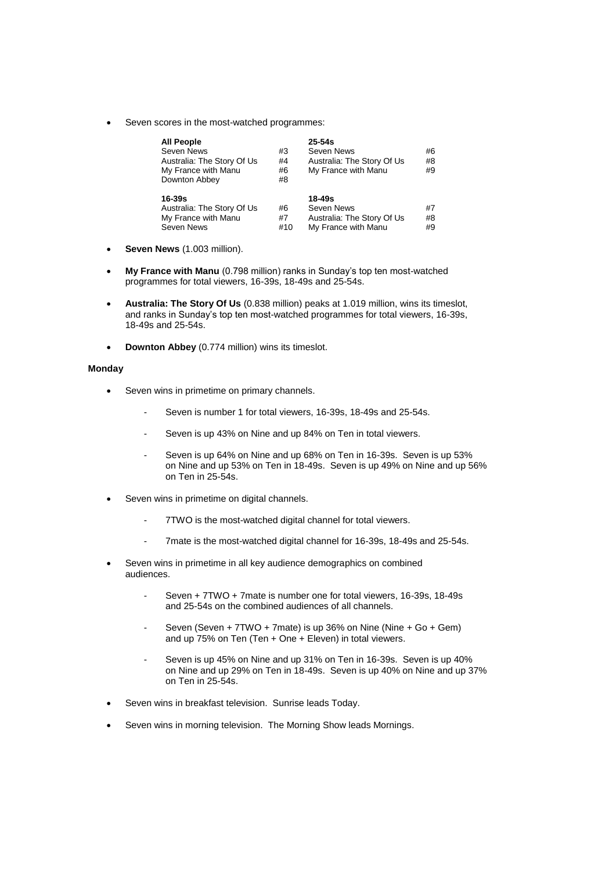Seven scores in the most-watched programmes:

| <b>All People</b><br>Seven News<br>Australia: The Story Of Us<br>My France with Manu<br>Downton Abbey | #3<br>#4<br>#6<br>#8 | $25 - 54s$<br>Seven News<br>Australia: The Story Of Us<br>My France with Manu | #6<br>#8<br>#9 |
|-------------------------------------------------------------------------------------------------------|----------------------|-------------------------------------------------------------------------------|----------------|
| 16-39s<br>Australia: The Story Of Us<br>My France with Manu<br><b>Seven News</b>                      | #6<br>#7<br>#10      | 18-49s<br>Seven News<br>Australia: The Story Of Us<br>My France with Manu     | #7<br>#8<br>#9 |

- **Seven News** (1.003 million).
- **My France with Manu** (0.798 million) ranks in Sunday's top ten most-watched programmes for total viewers, 16-39s, 18-49s and 25-54s.
- **Australia: The Story Of Us** (0.838 million) peaks at 1.019 million, wins its timeslot, and ranks in Sunday's top ten most-watched programmes for total viewers, 16-39s, 18-49s and 25-54s.
- **Downton Abbey** (0.774 million) wins its timeslot.

### **Monday**

- Seven wins in primetime on primary channels.
	- Seven is number 1 for total viewers, 16-39s, 18-49s and 25-54s.
	- Seven is up 43% on Nine and up 84% on Ten in total viewers.
	- Seven is up 64% on Nine and up 68% on Ten in 16-39s. Seven is up 53% on Nine and up 53% on Ten in 18-49s. Seven is up 49% on Nine and up 56% on Ten in 25-54s.
- Seven wins in primetime on digital channels.
	- 7TWO is the most-watched digital channel for total viewers.
	- 7mate is the most-watched digital channel for 16-39s, 18-49s and 25-54s.
- Seven wins in primetime in all key audience demographics on combined audiences.
	- Seven + 7TWO + 7mate is number one for total viewers, 16-39s, 18-49s and 25-54s on the combined audiences of all channels.
	- Seven (Seven + 7TWO + 7mate) is up 36% on Nine (Nine + Go + Gem) and up 75% on Ten (Ten + One + Eleven) in total viewers.
	- Seven is up 45% on Nine and up 31% on Ten in 16-39s. Seven is up 40% on Nine and up 29% on Ten in 18-49s. Seven is up 40% on Nine and up 37% on Ten in 25-54s.
- Seven wins in breakfast television. Sunrise leads Today.
- Seven wins in morning television. The Morning Show leads Mornings.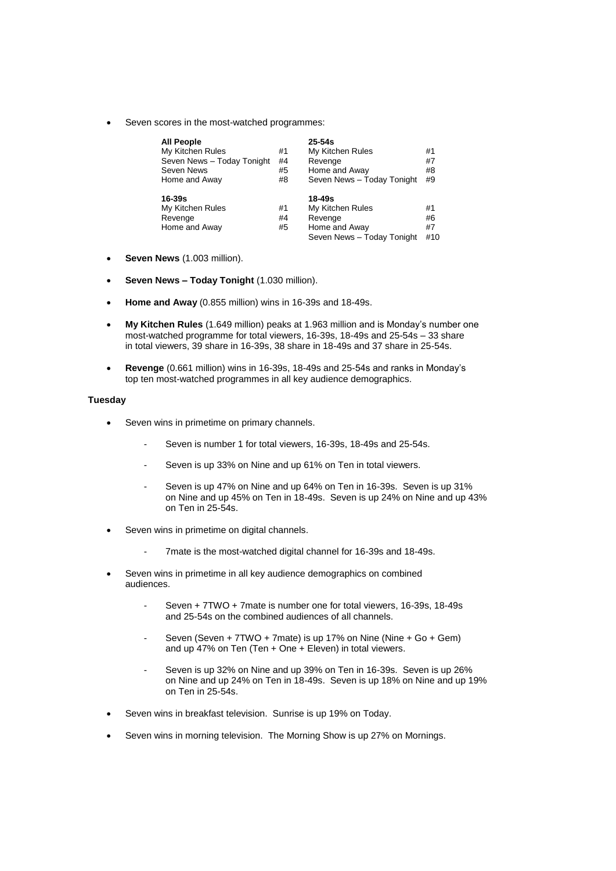Seven scores in the most-watched programmes:

| <b>All People</b><br>My Kitchen Rules<br>Seven News - Today Tonight<br>Seven News<br>Home and Away | #1<br>#4<br>#5<br>#8 | $25 - 54s$<br>My Kitchen Rules<br>Revenge<br>Home and Away<br>Seven News - Today Tonight | #1<br>#7<br>#8<br>#9  |
|----------------------------------------------------------------------------------------------------|----------------------|------------------------------------------------------------------------------------------|-----------------------|
| $16 - 39s$<br>My Kitchen Rules<br>Revenge<br>Home and Away                                         | #1<br>#4<br>#5       | 18-49s<br>My Kitchen Rules<br>Revenge<br>Home and Away<br>Seven News - Today Tonight     | #1<br>#6<br>#7<br>#10 |

- **Seven News** (1.003 million).
- **Seven News – Today Tonight** (1.030 million).
- **Home and Away** (0.855 million) wins in 16-39s and 18-49s.
- **My Kitchen Rules** (1.649 million) peaks at 1.963 million and is Monday's number one most-watched programme for total viewers, 16-39s, 18-49s and 25-54s – 33 share in total viewers, 39 share in 16-39s, 38 share in 18-49s and 37 share in 25-54s.
- **Revenge** (0.661 million) wins in 16-39s, 18-49s and 25-54s and ranks in Monday's top ten most-watched programmes in all key audience demographics.

#### **Tuesday**

- Seven wins in primetime on primary channels.
	- Seven is number 1 for total viewers, 16-39s, 18-49s and 25-54s.
	- Seven is up 33% on Nine and up 61% on Ten in total viewers.
	- Seven is up 47% on Nine and up 64% on Ten in 16-39s. Seven is up 31% on Nine and up 45% on Ten in 18-49s. Seven is up 24% on Nine and up 43% on Ten in 25-54s.
- Seven wins in primetime on digital channels.
	- 7mate is the most-watched digital channel for 16-39s and 18-49s.
- Seven wins in primetime in all key audience demographics on combined audiences.
	- Seven + 7TWO + 7mate is number one for total viewers, 16-39s, 18-49s and 25-54s on the combined audiences of all channels.
	- Seven (Seven + 7TWO + 7mate) is up 17% on Nine (Nine + Go + Gem) and up 47% on Ten (Ten + One + Eleven) in total viewers.
	- Seven is up 32% on Nine and up 39% on Ten in 16-39s. Seven is up 26% on Nine and up 24% on Ten in 18-49s. Seven is up 18% on Nine and up 19% on Ten in 25-54s.
- Seven wins in breakfast television. Sunrise is up 19% on Today.
- Seven wins in morning television. The Morning Show is up 27% on Mornings.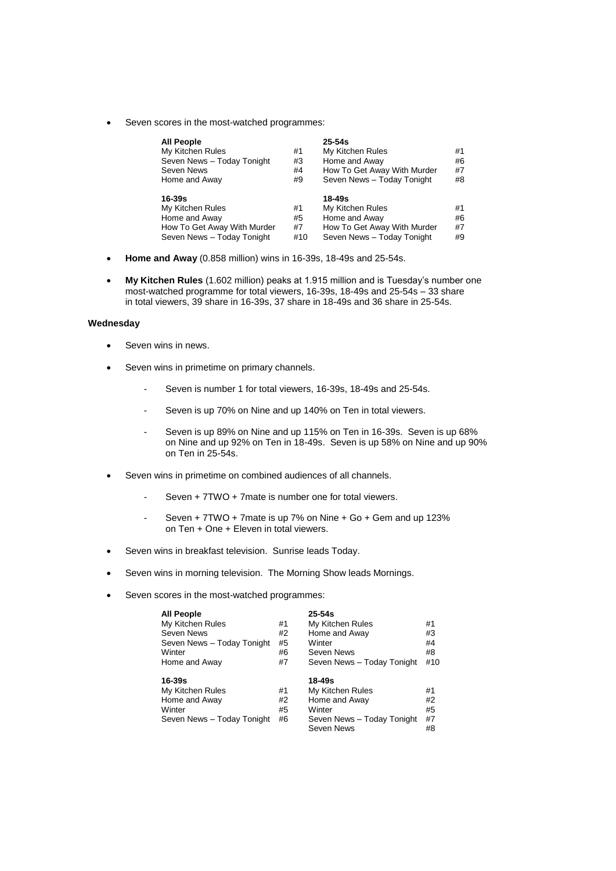Seven scores in the most-watched programmes:

| <b>All People</b><br>My Kitchen Rules<br>Seven News - Today Tonight<br>Seven News<br>Home and Away | #1<br>#3<br>#4<br>#9 | $25 - 54s$<br>My Kitchen Rules<br>Home and Away<br>How To Get Away With Murder<br>Seven News - Today Tonight | #1<br>#6<br>#7<br>#8 |
|----------------------------------------------------------------------------------------------------|----------------------|--------------------------------------------------------------------------------------------------------------|----------------------|
| $16 - 39s$                                                                                         |                      | 18-49s                                                                                                       |                      |
| My Kitchen Rules                                                                                   | #1                   | My Kitchen Rules                                                                                             | #1                   |
| Home and Away                                                                                      | #5                   | Home and Away                                                                                                | #6                   |
| How To Get Away With Murder                                                                        | #7                   | How To Get Away With Murder                                                                                  | #7                   |
| Seven News - Today Tonight                                                                         | #10                  | Seven News - Today Tonight                                                                                   | #9                   |

- **Home and Away** (0.858 million) wins in 16-39s, 18-49s and 25-54s.
- **My Kitchen Rules** (1.602 million) peaks at 1.915 million and is Tuesday's number one most-watched programme for total viewers, 16-39s, 18-49s and 25-54s – 33 share in total viewers, 39 share in 16-39s, 37 share in 18-49s and 36 share in 25-54s.

## **Wednesday**

- Seven wins in news.
- Seven wins in primetime on primary channels.
	- Seven is number 1 for total viewers, 16-39s, 18-49s and 25-54s.
	- Seven is up 70% on Nine and up 140% on Ten in total viewers.
	- Seven is up 89% on Nine and up 115% on Ten in 16-39s. Seven is up 68% on Nine and up 92% on Ten in 18-49s. Seven is up 58% on Nine and up 90% on Ten in 25-54s.
- Seven wins in primetime on combined audiences of all channels.
	- Seven + 7TWO + 7mate is number one for total viewers.
	- Seven + 7TWO + 7mate is up 7% on Nine + Go + Gem and up 123% on Ten + One + Eleven in total viewers.
- Seven wins in breakfast television. Sunrise leads Today.
- Seven wins in morning television. The Morning Show leads Mornings.
- Seven scores in the most-watched programmes:

| <b>All People</b>          |    | $25 - 54s$                 |     |
|----------------------------|----|----------------------------|-----|
| My Kitchen Rules           | #1 | My Kitchen Rules           | #1  |
| Seven News                 | #2 | Home and Away              | #3  |
| Seven News - Today Tonight | #5 | Winter                     | #4  |
| Winter                     | #6 | Seven News                 | #8  |
| Home and Away              | #7 | Seven News - Today Tonight | #10 |
| 16-39s                     |    | 18-49s                     |     |
| My Kitchen Rules           | #1 | My Kitchen Rules           | #1  |
| Home and Away              | #2 | Home and Away              | #2  |
| Winter                     | #5 | Winter                     | #5  |
| Seven News - Today Tonight | #6 | Seven News - Today Tonight | #7  |
|                            |    | Seven News                 | #8  |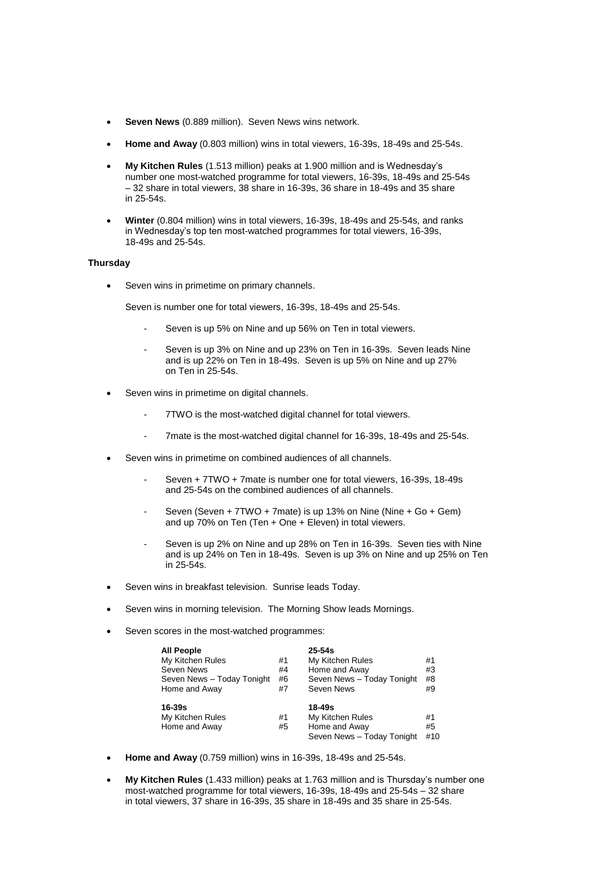- **Seven News** (0.889 million). Seven News wins network.
- **Home and Away** (0.803 million) wins in total viewers, 16-39s, 18-49s and 25-54s.
- **My Kitchen Rules** (1.513 million) peaks at 1.900 million and is Wednesday's number one most-watched programme for total viewers, 16-39s, 18-49s and 25-54s – 32 share in total viewers, 38 share in 16-39s, 36 share in 18-49s and 35 share in 25-54s.
- **Winter** (0.804 million) wins in total viewers, 16-39s, 18-49s and 25-54s, and ranks in Wednesday's top ten most-watched programmes for total viewers, 16-39s, 18-49s and 25-54s.

### **Thursday**

Seven wins in primetime on primary channels.

Seven is number one for total viewers, 16-39s, 18-49s and 25-54s.

- Seven is up 5% on Nine and up 56% on Ten in total viewers.
- Seven is up 3% on Nine and up 23% on Ten in 16-39s. Seven leads Nine and is up 22% on Ten in 18-49s. Seven is up 5% on Nine and up 27% on Ten in 25-54s.
- Seven wins in primetime on digital channels.
	- 7TWO is the most-watched digital channel for total viewers.
	- 7mate is the most-watched digital channel for 16-39s, 18-49s and 25-54s.
- Seven wins in primetime on combined audiences of all channels.
	- Seven + 7TWO + 7mate is number one for total viewers, 16-39s, 18-49s and 25-54s on the combined audiences of all channels.
	- Seven (Seven + 7TWO + 7mate) is up 13% on Nine (Nine + Go + Gem) and up 70% on Ten (Ten + One + Eleven) in total viewers.
	- Seven is up 2% on Nine and up 28% on Ten in 16-39s. Seven ties with Nine and is up 24% on Ten in 18-49s. Seven is up 3% on Nine and up 25% on Ten in 25-54s.
- Seven wins in breakfast television. Sunrise leads Today.
- Seven wins in morning television. The Morning Show leads Mornings.
- Seven scores in the most-watched programmes:

| <b>All People</b>          |    | $25 - 54s$                 |     |
|----------------------------|----|----------------------------|-----|
| My Kitchen Rules           | #1 | My Kitchen Rules           | #1  |
| Seven News                 | #4 | Home and Away              | #3  |
| Seven News - Today Tonight | #6 | Seven News - Today Tonight | #8  |
| Home and Away              | #7 | Seven News                 | #9  |
| $16 - 39s$                 |    | 18-49s                     |     |
| My Kitchen Rules           | #1 | My Kitchen Rules           | #1  |
| Home and Away              | #5 | Home and Away              | #5  |
|                            |    | Seven News - Today Tonight | #10 |

- **Home and Away** (0.759 million) wins in 16-39s, 18-49s and 25-54s.
- **My Kitchen Rules** (1.433 million) peaks at 1.763 million and is Thursday's number one most-watched programme for total viewers, 16-39s, 18-49s and 25-54s – 32 share in total viewers, 37 share in 16-39s, 35 share in 18-49s and 35 share in 25-54s.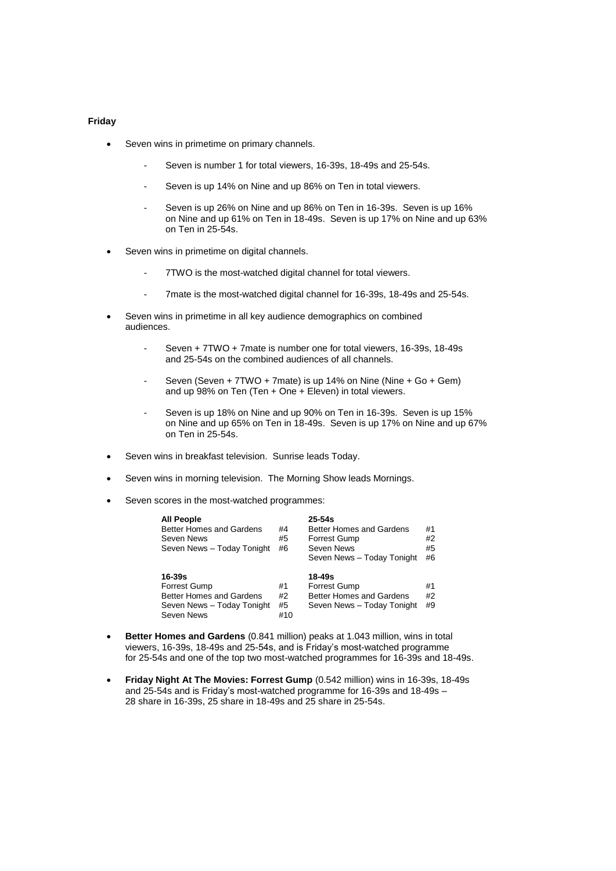#### **Friday**

- Seven wins in primetime on primary channels.
	- Seven is number 1 for total viewers, 16-39s, 18-49s and 25-54s.
	- Seven is up 14% on Nine and up 86% on Ten in total viewers.
	- Seven is up 26% on Nine and up 86% on Ten in 16-39s. Seven is up 16% on Nine and up 61% on Ten in 18-49s. Seven is up 17% on Nine and up 63% on Ten in 25-54s.
- Seven wins in primetime on digital channels.
	- 7TWO is the most-watched digital channel for total viewers.
	- 7mate is the most-watched digital channel for 16-39s, 18-49s and 25-54s.
- Seven wins in primetime in all key audience demographics on combined audiences.
	- Seven + 7TWO + 7mate is number one for total viewers, 16-39s, 18-49s and 25-54s on the combined audiences of all channels.
	- Seven (Seven + 7TWO + 7mate) is up 14% on Nine (Nine + Go + Gem) and up 98% on Ten (Ten + One + Eleven) in total viewers.
	- Seven is up 18% on Nine and up 90% on Ten in 16-39s. Seven is up 15% on Nine and up 65% on Ten in 18-49s. Seven is up 17% on Nine and up 67% on Ten in 25-54s.
- Seven wins in breakfast television. Sunrise leads Today.
- Seven wins in morning television. The Morning Show leads Mornings.
- Seven scores in the most-watched programmes:

| <b>All People</b><br><b>Better Homes and Gardens</b><br>Seven News<br>Seven News - Today Tonight        | #4<br>#5<br>#6        | $25 - 54s$<br>Better Homes and Gardens<br><b>Forrest Gump</b><br>Seven News<br>Seven News - Today Tonight | #1<br>#2<br>#5<br>#6 |
|---------------------------------------------------------------------------------------------------------|-----------------------|-----------------------------------------------------------------------------------------------------------|----------------------|
| $16-39s$<br><b>Forrest Gump</b><br>Better Homes and Gardens<br>Seven News - Today Tonight<br>Seven News | #1<br>#2<br>#5<br>#10 | 18-49s<br><b>Forrest Gump</b><br>Better Homes and Gardens<br>Seven News - Today Tonight                   | #1<br>#2<br>#9       |

- **Better Homes and Gardens** (0.841 million) peaks at 1.043 million, wins in total viewers, 16-39s, 18-49s and 25-54s, and is Friday's most-watched programme for 25-54s and one of the top two most-watched programmes for 16-39s and 18-49s.
- **Friday Night At The Movies: Forrest Gump** (0.542 million) wins in 16-39s, 18-49s and 25-54s and is Friday's most-watched programme for 16-39s and 18-49s – 28 share in 16-39s, 25 share in 18-49s and 25 share in 25-54s.